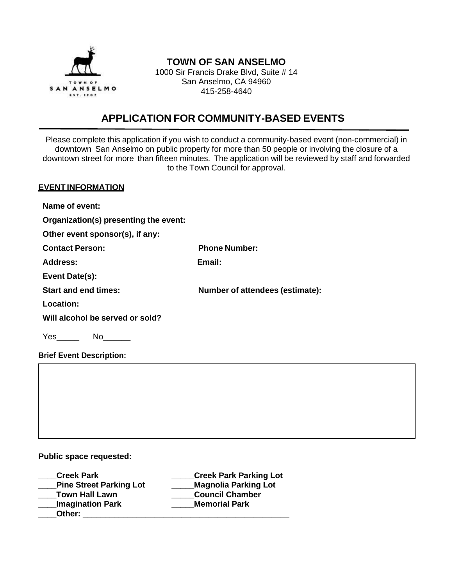

## **TOWN OF SAN ANSELMO**

1000 Sir Francis Drake Blvd, Suite # 14 San Anselmo, CA 94960 415-258-4640

# **APPLICATION FOR COMMUNITY-BASED EVENTS**

Please complete this application if you wish to conduct a community-based event (non-commercial) in downtown San Anselmo on public property for more than 50 people or involving the closure of a downtown street for more than fifteen minutes. The application will be reviewed by staff and forwarded to the Town Council for approval.

#### **EVENT INFORMATION**

**Name of event:**

**Organization(s) presenting the event:** 

**Other event sponsor(s), if any:**

| <b>Contact Person:</b>          | <b>Phone Number:</b>                   |
|---------------------------------|----------------------------------------|
| Address:                        | Email:                                 |
| Event Date(s):                  |                                        |
| <b>Start and end times:</b>     | <b>Number of attendees (estimate):</b> |
| Location:                       |                                        |
| Will alcohol be served or sold? |                                        |
|                                 |                                        |

 $Yes \t M0$ 

**Brief Event Description:**

#### **Public space requested:**

**\_\_\_\_Creek Park \_\_\_\_\_Creek Park Parking Lot \_\_\_\_Pine Street Parking Lot \_\_\_\_\_Magnolia Parking Lot \_\_\_\_Town Hall Lawn \_\_\_\_\_Council Chamber \_\_\_\_Imagination Park \_\_\_\_\_Memorial Park** Other: **with a set of the set of the set of the set of the set of the set of the set of the set of the set of the set of the set of the set of the set of the set of the set of the set of the set of the set of the set of th**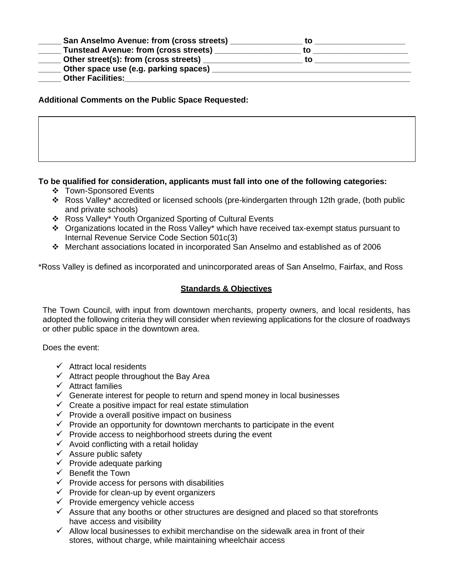| <b>San Anselmo Avenue: from (cross streets)</b> |    |  |
|-------------------------------------------------|----|--|
| <b>Tunstead Avenue: from (cross streets)</b>    | tΟ |  |
| Other street(s): from (cross streets)           | tΩ |  |
| Other space use (e.g. parking spaces)           |    |  |
| <b>Other Facilities:</b>                        |    |  |

#### **Additional Comments on the Public Space Requested:**

#### **To be qualified for consideration, applicants must fall into one of the following categories:**

- ❖ Town-Sponsored Events
- ❖ Ross Valley\* accredited or licensed schools (pre-kindergarten through 12th grade, (both public and private schools)
- ❖ Ross Valley\* Youth Organized Sporting of Cultural Events
- ❖ Organizations located in the Ross Valley\* which have received tax-exempt status pursuant to Internal Revenue Service Code Section 501c(3)
- ❖ Merchant associations located in incorporated San Anselmo and established as of 2006

\*Ross Valley is defined as incorporated and unincorporated areas of San Anselmo, Fairfax, and Ross

#### **Standards & Objectives**

The Town Council, with input from downtown merchants, property owners, and local residents, has adopted the following criteria they will consider when reviewing applications for the closure of roadways or other public space in the downtown area.

Does the event:

- $\checkmark$  Attract local residents
- $\checkmark$  Attract people throughout the Bay Area
- ✓ Attract families
- $\checkmark$  Generate interest for people to return and spend money in local businesses
- $\checkmark$  Create a positive impact for real estate stimulation
- $\checkmark$  Provide a overall positive impact on business
- $\checkmark$  Provide an opportunity for downtown merchants to participate in the event
- $\checkmark$  Provide access to neighborhood streets during the event
- $\checkmark$  Avoid conflicting with a retail holiday
- $\checkmark$  Assure public safety
- $\checkmark$  Provide adequate parking
- $\checkmark$  Benefit the Town
- $\checkmark$  Provide access for persons with disabilities
- $\checkmark$  Provide for clean-up by event organizers
- $\checkmark$  Provide emergency vehicle access
- $\checkmark$  Assure that any booths or other structures are designed and placed so that storefronts have access and visibility
- $\checkmark$  Allow local businesses to exhibit merchandise on the sidewalk area in front of their stores, without charge, while maintaining wheelchair access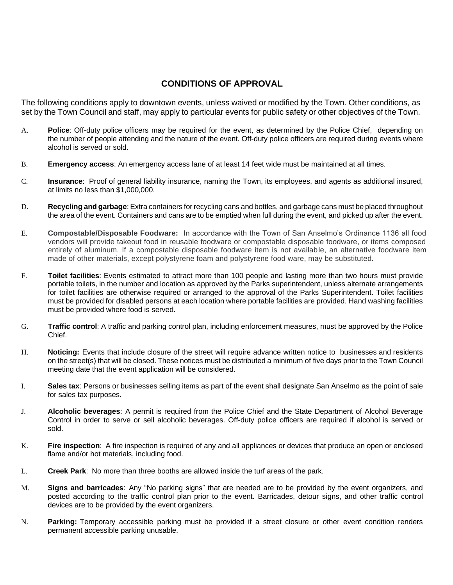### **CONDITIONS OF APPROVAL**

The following conditions apply to downtown events, unless waived or modified by the Town. Other conditions, as set by the Town Council and staff, may apply to particular events for public safety or other objectives of the Town.

- A. **Police**: Off-duty police officers may be required for the event, as determined by the Police Chief, depending on the number of people attending and the nature of the event. Off-duty police officers are required during events where alcohol is served or sold.
- B. **Emergency access**: An emergency access lane of at least 14 feet wide must be maintained at all times.
- C. **Insurance**: Proof of general liability insurance, naming the Town, its employees, and agents as additional insured, at limits no less than \$1,000,000.
- D. **Recycling and garbage**: Extra containers for recycling cans and bottles, and garbage cans must be placed throughout the area of the event. Containers and cans are to be emptied when full during the event, and picked up after the event.
- E. **Compostable/Disposable Foodware:** In accordance with the Town of San Anselmo's Ordinance 1136 all food vendors will provide takeout food in reusable foodware or compostable disposable foodware, or items composed entirely of aluminum. If a compostable disposable foodware item is not available, an alternative foodware item made of other materials, except polystyrene foam and polystyrene food ware, may be substituted.
- F. **Toilet facilities**: Events estimated to attract more than 100 people and lasting more than two hours must provide portable toilets, in the number and location as approved by the Parks superintendent, unless alternate arrangements for toilet facilities are otherwise required or arranged to the approval of the Parks Superintendent. Toilet facilities must be provided for disabled persons at each location where portable facilities are provided. Hand washing facilities must be provided where food is served.
- G. **Traffic control**: A traffic and parking control plan, including enforcement measures, must be approved by the Police Chief.
- H. **Noticing:** Events that include closure of the street will require advance written notice to businesses and residents on the street(s) that will be closed. These notices must be distributed a minimum of five days prior to the Town Council meeting date that the event application will be considered.
- I. **Sales tax**: Persons or businesses selling items as part of the event shall designate San Anselmo as the point of sale for sales tax purposes.
- J. **Alcoholic beverages**: A permit is required from the Police Chief and the State Department of Alcohol Beverage Control in order to serve or sell alcoholic beverages. Off-duty police officers are required if alcohol is served or sold.
- K. **Fire inspection**: A fire inspection is required of any and all appliances or devices that produce an open or enclosed flame and/or hot materials, including food.
- L. **Creek Park**: No more than three booths are allowed inside the turf areas of the park.
- M. **Signs and barricades**: Any "No parking signs" that are needed are to be provided by the event organizers, and posted according to the traffic control plan prior to the event. Barricades, detour signs, and other traffic control devices are to be provided by the event organizers.
- N. **Parking:** Temporary accessible parking must be provided if a street closure or other event condition renders permanent accessible parking unusable.